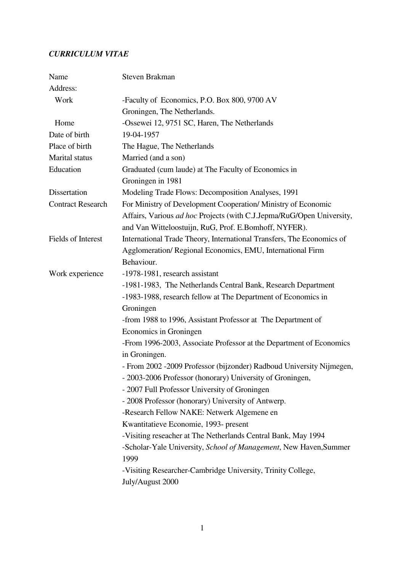# *CURRICULUM VITAE*

| Name                     | Steven Brakman                                                        |
|--------------------------|-----------------------------------------------------------------------|
| Address:                 |                                                                       |
| Work                     | -Faculty of Economics, P.O. Box 800, 9700 AV                          |
|                          | Groningen, The Netherlands.                                           |
| Home                     | -Ossewei 12, 9751 SC, Haren, The Netherlands                          |
| Date of birth            | 19-04-1957                                                            |
| Place of birth           | The Hague, The Netherlands                                            |
| Marital status           | Married (and a son)                                                   |
| Education                | Graduated (cum laude) at The Faculty of Economics in                  |
|                          | Groningen in 1981                                                     |
| Dissertation             | Modeling Trade Flows: Decomposition Analyses, 1991                    |
| <b>Contract Research</b> | For Ministry of Development Cooperation/Ministry of Economic          |
|                          | Affairs, Various ad hoc Projects (with C.J.Jepma/RuG/Open University, |
|                          | and Van Witteloostuijn, RuG, Prof. E.Bomhoff, NYFER).                 |
| Fields of Interest       | International Trade Theory, International Transfers, The Economics of |
|                          | Agglomeration/ Regional Economics, EMU, International Firm            |
|                          | Behaviour.                                                            |
| Work experience          | -1978-1981, research assistant                                        |
|                          | -1981-1983, The Netherlands Central Bank, Research Department         |
|                          | -1983-1988, research fellow at The Department of Economics in         |
|                          | Groningen                                                             |
|                          | -from 1988 to 1996, Assistant Professor at The Department of          |
|                          | Economics in Groningen                                                |
|                          | -From 1996-2003, Associate Professor at the Department of Economics   |
|                          | in Groningen.                                                         |
|                          | - From 2002 -2009 Professor (bijzonder) Radboud University Nijmegen,  |
|                          | - 2003-2006 Professor (honorary) University of Groningen,             |
|                          | - 2007 Full Professor University of Groningen                         |
|                          | - 2008 Professor (honorary) University of Antwerp.                    |
|                          | -Research Fellow NAKE: Netwerk Algemene en                            |
|                          | Kwantitatieve Economie, 1993- present                                 |
|                          | -Visiting reseacher at The Netherlands Central Bank, May 1994         |
|                          | -Scholar-Yale University, School of Management, New Haven, Summer     |
|                          | 1999                                                                  |
|                          | -Visiting Researcher-Cambridge University, Trinity College,           |
|                          | July/August 2000                                                      |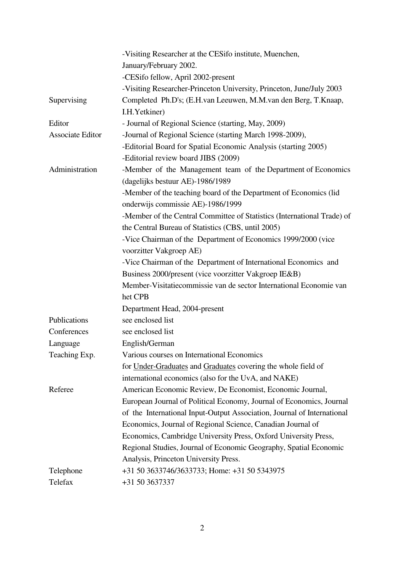|                  | -Visiting Researcher at the CESifo institute, Muenchen,                 |
|------------------|-------------------------------------------------------------------------|
|                  | January/February 2002.                                                  |
|                  | -CESifo fellow, April 2002-present                                      |
|                  | -Visiting Researcher-Princeton University, Princeton, June/July 2003    |
| Supervising      | Completed Ph.D's; (E.H.van Leeuwen, M.M.van den Berg, T.Knaap,          |
|                  | I.H. Yetkiner)                                                          |
| Editor           | - Journal of Regional Science (starting, May, 2009)                     |
| Associate Editor | -Journal of Regional Science (starting March 1998-2009),                |
|                  | -Editorial Board for Spatial Economic Analysis (starting 2005)          |
|                  | -Editorial review board JIBS (2009)                                     |
| Administration   | -Member of the Management team of the Department of Economics           |
|                  | (dagelijks bestuur AE)-1986/1989                                        |
|                  | -Member of the teaching board of the Department of Economics (lid       |
|                  | onderwijs commissie AE)-1986/1999                                       |
|                  | -Member of the Central Committee of Statistics (International Trade) of |
|                  | the Central Bureau of Statistics (CBS, until 2005)                      |
|                  | -Vice Chairman of the Department of Economics 1999/2000 (vice           |
|                  | voorzitter Vakgroep AE)                                                 |
|                  | -Vice Chairman of the Department of International Economics and         |
|                  | Business 2000/present (vice voorzitter Vakgroep IE&B)                   |
|                  | Member-Visitatiecommissie van de sector International Economie van      |
|                  | het CPB                                                                 |
|                  | Department Head, 2004-present                                           |
| Publications     | see enclosed list                                                       |
| Conferences      | see enclosed list                                                       |
| Language         | English/German                                                          |
| Teaching Exp.    | Various courses on International Economics                              |
|                  | for Under-Graduates and Graduates covering the whole field of           |
|                  | international economics (also for the UvA, and NAKE)                    |
| Referee          | American Economic Review, De Economist, Economic Journal,               |
|                  | European Journal of Political Economy, Journal of Economics, Journal    |
|                  | of the International Input-Output Association, Journal of International |
|                  | Economics, Journal of Regional Science, Canadian Journal of             |
|                  | Economics, Cambridge University Press, Oxford University Press,         |
|                  | Regional Studies, Journal of Economic Geography, Spatial Economic       |
|                  | Analysis, Princeton University Press.                                   |
| Telephone        | +31 50 3633746/3633733; Home: +31 50 5343975                            |
| Telefax          | +31 50 3637337                                                          |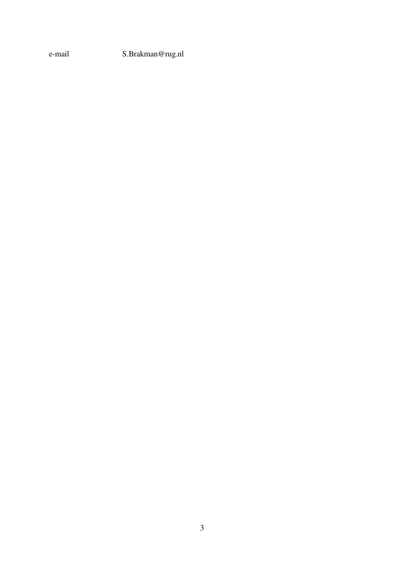e-mail S.Brakman@rug.nl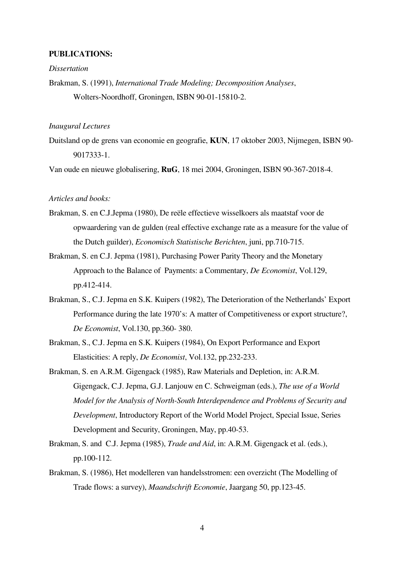#### **PUBLICATIONS:**

### *Dissertation*

Brakman, S. (1991), *International Trade Modeling; Decomposition Analyses*, Wolters-Noordhoff, Groningen, ISBN 90-01-15810-2.

## *Inaugural Lectures*

Duitsland op de grens van economie en geografie, **KUN**, 17 oktober 2003, Nijmegen, ISBN 90- 9017333-1.

Van oude en nieuwe globalisering, **RuG**, 18 mei 2004, Groningen, ISBN 90-367-2018-4.

### *Articles and books:*

- Brakman, S. en C.J.Jepma (1980), De reële effectieve wisselkoers als maatstaf voor de opwaardering van de gulden (real effective exchange rate as a measure for the value of the Dutch guilder), *Economisch Statistische Berichten*, juni, pp.710-715.
- Brakman, S. en C.J. Jepma (1981), Purchasing Power Parity Theory and the Monetary Approach to the Balance of Payments: a Commentary, *De Economist*, Vol.129, pp.412-414.
- Brakman, S., C.J. Jepma en S.K. Kuipers (1982), The Deterioration of the Netherlands' Export Performance during the late 1970's: A matter of Competitiveness or export structure?, *De Economist*, Vol.130, pp.360- 380.
- Brakman, S., C.J. Jepma en S.K. Kuipers (1984), On Export Performance and Export Elasticities: A reply, *De Economist*, Vol.132, pp.232-233.
- Brakman, S. en A.R.M. Gigengack (1985), Raw Materials and Depletion, in: A.R.M. Gigengack, C.J. Jepma, G.J. Lanjouw en C. Schweigman (eds.), *The use of a World Model for the Analysis of North-South Interdependence and Problems of Security and Development*, Introductory Report of the World Model Project, Special Issue, Series Development and Security, Groningen, May, pp.40-53.
- Brakman, S. and C.J. Jepma (1985), *Trade and Aid*, in: A.R.M. Gigengack et al. (eds.), pp.100-112.
- Brakman, S. (1986), Het modelleren van handelsstromen: een overzicht (The Modelling of Trade flows: a survey), *Maandschrift Economie*, Jaargang 50, pp.123-45.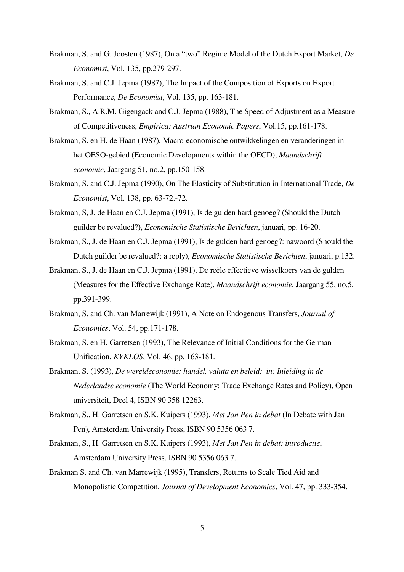- Brakman, S. and G. Joosten (1987), On a "two" Regime Model of the Dutch Export Market, *De Economist*, Vol. 135, pp.279-297.
- Brakman, S. and C.J. Jepma (1987), The Impact of the Composition of Exports on Export Performance, *De Economist*, Vol. 135, pp. 163-181.
- Brakman, S., A.R.M. Gigengack and C.J. Jepma (1988), The Speed of Adjustment as a Measure of Competitiveness, *Empirica; Austrian Economic Papers*, Vol.15, pp.161-178.
- Brakman, S. en H. de Haan (1987), Macro-economische ontwikkelingen en veranderingen in het OESO-gebied (Economic Developments within the OECD), *Maandschrift economie*, Jaargang 51, no.2, pp.150-158.
- Brakman, S. and C.J. Jepma (1990), On The Elasticity of Substitution in International Trade, *De Economist*, Vol. 138, pp. 63-72.-72.
- Brakman, S, J. de Haan en C.J. Jepma (1991), Is de gulden hard genoeg? (Should the Dutch guilder be revalued?), *Economische Statistische Berichten*, januari, pp. 16-20.
- Brakman, S., J. de Haan en C.J. Jepma (1991), Is de gulden hard genoeg?: nawoord (Should the Dutch guilder be revalued?: a reply), *Economische Statistische Berichten*, januari, p.132.
- Brakman, S., J. de Haan en C.J. Jepma (1991), De reële effectieve wisselkoers van de gulden (Measures for the Effective Exchange Rate), *Maandschrift economie*, Jaargang 55, no.5, pp.391-399.
- Brakman, S. and Ch. van Marrewijk (1991), A Note on Endogenous Transfers, *Journal of Economics*, Vol. 54, pp.171-178.
- Brakman, S. en H. Garretsen (1993), The Relevance of Initial Conditions for the German Unification, *KYKLOS*, Vol. 46, pp. 163-181.
- Brakman, S. (1993), *De wereldeconomie: handel, valuta en beleid; in: Inleiding in de Nederlandse economie* (The World Economy: Trade Exchange Rates and Policy), Open universiteit, Deel 4, ISBN 90 358 12263.
- Brakman, S., H. Garretsen en S.K. Kuipers (1993), *Met Jan Pen in debat* (In Debate with Jan Pen), Amsterdam University Press, ISBN 90 5356 063 7.
- Brakman, S., H. Garretsen en S.K. Kuipers (1993), *Met Jan Pen in debat: introductie*, Amsterdam University Press, ISBN 90 5356 063 7.
- Brakman S. and Ch. van Marrewijk (1995), Transfers, Returns to Scale Tied Aid and Monopolistic Competition, *Journal of Development Economics*, Vol. 47, pp. 333-354.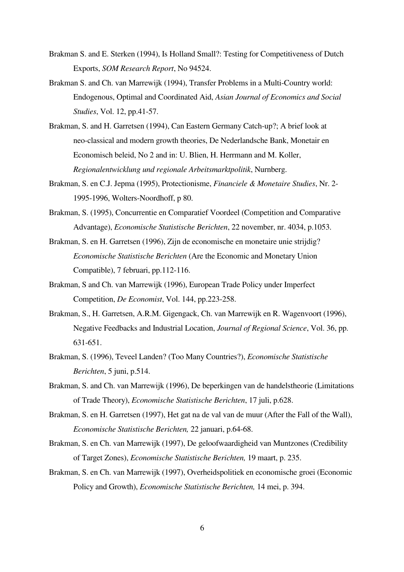- Brakman S. and E. Sterken (1994), Is Holland Small?: Testing for Competitiveness of Dutch Exports, *SOM Research Report*, No 94524.
- Brakman S. and Ch. van Marrewijk (1994), Transfer Problems in a Multi-Country world: Endogenous, Optimal and Coordinated Aid, *Asian Journal of Economics and Social Studies*, Vol. 12, pp.41-57.
- Brakman, S. and H. Garretsen (1994), Can Eastern Germany Catch-up?; A brief look at neo-classical and modern growth theories, De Nederlandsche Bank, Monetair en Economisch beleid, No 2 and in: U. Blien, H. Herrmann and M. Koller, *Regionalentwicklung und regionale Arbeitsmarktpolitik*, Nurnberg.
- Brakman, S. en C.J. Jepma (1995), Protectionisme, *Financiele & Monetaire Studies*, Nr. 2- 1995-1996, Wolters-Noordhoff, p 80.
- Brakman, S. (1995), Concurrentie en Comparatief Voordeel (Competition and Comparative Advantage), *Economische Statistische Berichten*, 22 november, nr. 4034, p.1053.
- Brakman, S. en H. Garretsen (1996), Zijn de economische en monetaire unie strijdig?  *Economische Statistische Berichten* (Are the Economic and Monetary Union Compatible), 7 februari, pp.112-116.
- Brakman, S and Ch. van Marrewijk (1996), European Trade Policy under Imperfect Competition, *De Economist*, Vol. 144, pp.223-258.
- Brakman, S., H. Garretsen, A.R.M. Gigengack, Ch. van Marrewijk en R. Wagenvoort (1996), Negative Feedbacks and Industrial Location, *Journal of Regional Science*, Vol. 36, pp. 631-651.
- Brakman, S. (1996), Teveel Landen? (Too Many Countries?), *Economische Statistische Berichten*, 5 juni, p.514.
- Brakman, S. and Ch. van Marrewijk (1996), De beperkingen van de handelstheorie (Limitations of Trade Theory), *Economische Statistische Berichten*, 17 juli, p.628.
- Brakman, S. en H. Garretsen (1997), Het gat na de val van de muur (After the Fall of the Wall), *Economische Statistische Berichten,* 22 januari, p.64-68.
- Brakman, S. en Ch. van Marrewijk (1997), De geloofwaardigheid van Muntzones (Credibility of Target Zones), *Economische Statistische Berichten,* 19 maart, p. 235.
- Brakman, S. en Ch. van Marrewijk (1997), Overheidspolitiek en economische groei (Economic Policy and Growth), *Economische Statistische Berichten,* 14 mei, p. 394.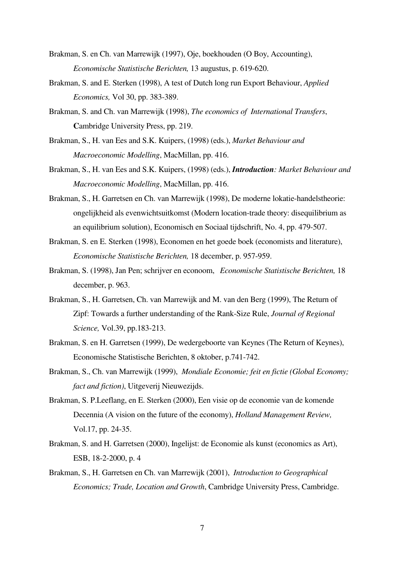- Brakman, S. en Ch. van Marrewijk (1997), Oje, boekhouden (O Boy, Accounting), *Economische Statistische Berichten,* 13 augustus, p. 619-620.
- Brakman, S. and E. Sterken (1998), A test of Dutch long run Export Behaviour, *Applied Economics,* Vol 30, pp. 383-389.
- Brakman, S. and Ch. van Marrewijk (1998), *The economics of International Transfers*, **C**ambridge University Press, pp. 219.
- Brakman, S., H. van Ees and S.K. Kuipers, (1998) (eds.), *Market Behaviour and Macroeconomic Modelling*, MacMillan, pp. 416.
- Brakman, S., H. van Ees and S.K. Kuipers, (1998) (eds.), *Introduction: Market Behaviour and Macroeconomic Modelling*, MacMillan, pp. 416.
- Brakman, S., H. Garretsen en Ch. van Marrewijk (1998), De moderne lokatie-handelstheorie: ongelijkheid als evenwichtsuitkomst (Modern location-trade theory: disequilibrium as an equilibrium solution), Economisch en Sociaal tijdschrift, No. 4, pp. 479-507.
- Brakman, S. en E. Sterken (1998), Economen en het goede boek (economists and literature), *Economische Statistische Berichten,* 18 december, p. 957-959.
- Brakman, S. (1998), Jan Pen; schrijver en econoom, *Economische Statistische Berichten,* 18 december, p. 963.
- Brakman, S., H. Garretsen, Ch. van Marrewijk and M. van den Berg (1999), The Return of Zipf: Towards a further understanding of the Rank-Size Rule, *Journal of Regional Science,* Vol.39, pp.183-213.
- Brakman, S. en H. Garretsen (1999), De wedergeboorte van Keynes (The Return of Keynes), Economische Statistische Berichten, 8 oktober, p.741-742.
- Brakman, S., Ch. van Marrewijk (1999), *Mondiale Economie; feit en fictie (Global Economy; fact and fiction)*, Uitgeverij Nieuwezijds.
- Brakman, S. P.Leeflang, en E. Sterken (2000), Een visie op de economie van de komende Decennia (A vision on the future of the economy), *Holland Management Review,*  Vol.17, pp. 24-35.
- Brakman, S. and H. Garretsen (2000), Ingelijst: de Economie als kunst (economics as Art), ESB, 18-2-2000, p. 4
- Brakman, S., H. Garretsen en Ch. van Marrewijk (2001), *Introduction to Geographical Economics; Trade, Location and Growth*, Cambridge University Press, Cambridge.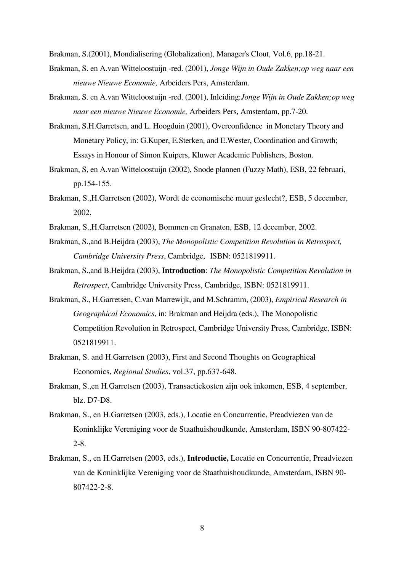Brakman, S.(2001), Mondialisering (Globalization), Manager's Clout, Vol.6, pp.18-21.

- Brakman, S. en A.van Witteloostuijn -red. (2001), *Jonge Wijn in Oude Zakken;op weg naar een nieuwe Nieuwe Economie,* Arbeiders Pers, Amsterdam.
- Brakman, S. en A.van Witteloostuijn -red. (2001), Inleiding:*Jonge Wijn in Oude Zakken;op weg naar een nieuwe Nieuwe Economie,* Arbeiders Pers, Amsterdam, pp.7-20.
- Brakman, S.H.Garretsen, and L. Hoogduin (2001), Overconfidence in Monetary Theory and Monetary Policy, in: G.Kuper, E.Sterken, and E.Wester, Coordination and Growth; Essays in Honour of Simon Kuipers, Kluwer Academic Publishers, Boston.
- Brakman, S, en A.van Witteloostuijn (2002), Snode plannen (Fuzzy Math), ESB, 22 februari, pp.154-155.
- Brakman, S.,H.Garretsen (2002), Wordt de economische muur geslecht?, ESB, 5 december, 2002.
- Brakman, S.,H.Garretsen (2002), Bommen en Granaten, ESB, 12 december, 2002.
- Brakman, S.,and B.Heijdra (2003), *The Monopolistic Competition Revolution in Retrospect, Cambridge University Press*, Cambridge, ISBN: 0521819911.
- Brakman, S.,and B.Heijdra (2003), **Introduction**: *The Monopolistic Competition Revolution in Retrospect*, Cambridge University Press, Cambridge, ISBN: 0521819911.
- Brakman, S., H.Garretsen, C.van Marrewijk, and M.Schramm, (2003), *Empirical Research in Geographical Economics*, in: Brakman and Heijdra (eds.), The Monopolistic Competition Revolution in Retrospect, Cambridge University Press, Cambridge, ISBN: 0521819911.
- Brakman, S. and H.Garretsen (2003), First and Second Thoughts on Geographical Economics, *Regional Studies*, vol.37, pp.637-648.
- Brakman, S.,en H.Garretsen (2003), Transactiekosten zijn ook inkomen, ESB, 4 september, blz. D7-D8.
- Brakman, S., en H.Garretsen (2003, eds.), Locatie en Concurrentie, Preadviezen van de Koninklijke Vereniging voor de Staathuishoudkunde, Amsterdam, ISBN 90-807422- 2-8.
- Brakman, S., en H.Garretsen (2003, eds.), **Introductie,** Locatie en Concurrentie, Preadviezen van de Koninklijke Vereniging voor de Staathuishoudkunde, Amsterdam, ISBN 90- 807422-2-8.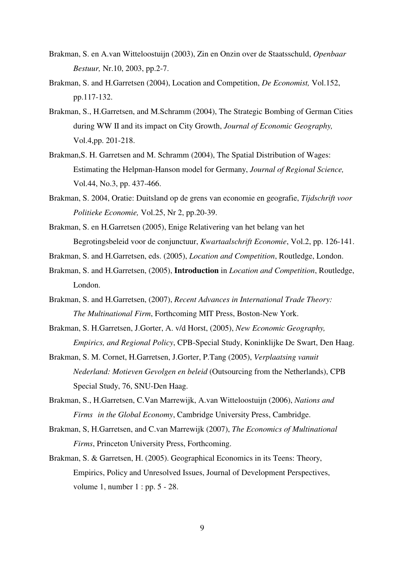- Brakman, S. en A.van Witteloostuijn (2003), Zin en Onzin over de Staatsschuld, *Openbaar Bestuur,* Nr.10, 2003, pp.2-7.
- Brakman, S. and H.Garretsen (2004), Location and Competition, *De Economist,* Vol.152, pp.117-132.
- Brakman, S., H.Garretsen, and M.Schramm (2004), The Strategic Bombing of German Cities during WW II and its impact on City Growth, *Journal of Economic Geography,*  Vol.4,pp. 201-218.
- Brakman,S. H. Garretsen and M. Schramm (2004), The Spatial Distribution of Wages: Estimating the Helpman-Hanson model for Germany, *Journal of Regional Science,*  Vol.44, No.3, pp. 437-466.
- Brakman, S. 2004, Oratie: Duitsland op de grens van economie en geografie, *Tijdschrift voor Politieke Economie,* Vol.25, Nr 2, pp.20-39.
- Brakman, S. en H.Garretsen (2005), Enige Relativering van het belang van het Begrotingsbeleid voor de conjunctuur, *Kwartaalschrift Economie*, Vol.2, pp. 126-141.
- Brakman, S. and H.Garretsen, eds. (2005), *Location and Competition*, Routledge, London.
- Brakman, S. and H.Garretsen, (2005), **Introduction** in *Location and Competition*, Routledge, London.
- Brakman, S. and H.Garretsen, (2007), *Recent Advances in International Trade Theory: The Multinational Firm*, Forthcoming MIT Press, Boston-New York.
- Brakman, S. H.Garretsen, J.Gorter, A. v/d Horst, (2005), *New Economic Geography, Empirics, and Regional Policy*, CPB-Special Study, Koninklijke De Swart, Den Haag.
- Brakman, S. M. Cornet, H.Garretsen, J.Gorter, P.Tang (2005), *Verplaatsing vanuit Nederland: Motieven Gevolgen en beleid* (Outsourcing from the Netherlands), CPB Special Study, 76, SNU-Den Haag.
- Brakman, S., H.Garretsen, C.Van Marrewijk, A.van Witteloostuijn (2006), *Nations and Firms in the Global Economy*, Cambridge University Press, Cambridge.
- Brakman, S, H.Garretsen, and C.van Marrewijk (2007), *The Economics of Multinational Firms*, Princeton University Press, Forthcoming.
- Brakman, S. & Garretsen, H. (2005). Geographical Economics in its Teens: Theory, Empirics, Policy and Unresolved Issues, Journal of Development Perspectives, volume 1, number 1 : pp. 5 - 28.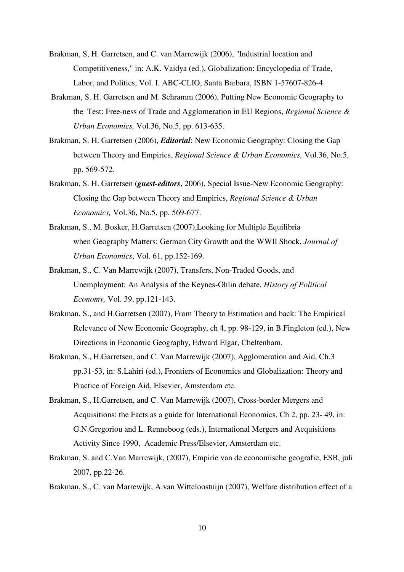- Brakman, S, H. Garretsen, and C. van Marrewijk (2006), "Industrial location and Competitiveness," in: A.K. Vaidya (ed.), Globalization: Encyclopedia of Trade, Labor, and Politics, Vol. I, ABC-CLIO, Santa Barbara, ISBN 1-57607-826-4.
- Brakman, S. H. Garretsen and M. Schramm (2006), Putting New Economic Geography to the Test: Free-ness of Trade and Agglomeration in EU Regions, *Regional Science & Urban Economics,* Vol.36, No.5, pp. 613-635.
- Brakman, S. H. Garretsen (2006), *Editorial*: New Economic Geography: Closing the Gap between Theory and Empirics, *Regional Science & Urban Economics,* Vol.36, No.5, pp. 569-572.
- Brakman, S. H. Garretsen (*guest-editors*, 2006), Special Issue-New Economic Geography: Closing the Gap between Theory and Empirics, *Regional Science & Urban Economics,* Vol.36, No.5, pp. 569-677.
- Brakman, S., M. Bosker, H.Garretsen (2007),Looking for Multiple Equilibria when Geography Matters: German City Growth and the WWII Shock, *Journal of Urban Economics*, Vol. 61, pp.152-169.
- Brakman, S., C. Van Marrewijk (2007), Transfers, Non-Traded Goods, and Unemployment: An Analysis of the Keynes-Ohlin debate, *History of Political Economy,* Vol. 39, pp.121-143.
- Brakman, S., and H.Garretsen (2007), From Theory to Estimation and back: The Empirical Relevance of New Economic Geography, ch 4, pp. 98-129, in B.Fingleton (ed.), New Directions in Economic Geography, Edward Elgar, Cheltenham.
- Brakman, S., H.Garretsen, and C. Van Marrewijk (2007), Agglomeration and Aid, Ch.3 pp.31-53, in: S.Lahiri (ed.), Frontiers of Economics and Globalization: Theory and Practice of Foreign Aid, Elsevier, Amsterdam etc.
- Brakman, S., H.Garretsen, and C. Van Marrewijk (2007), Cross-border Mergers and Acquisitions: the Facts as a guide for International Economics, Ch 2, pp. 23- 49, in: G.N.Gregoriou and L. Renneboog (eds.), International Mergers and Acquisitions Activity Since 1990, Academic Press/Elsevier, Amsterdam etc.
- Brakman, S. and C.Van Marrewijk, (2007), Empirie van de economische geografie, ESB, juli 2007, pp.22-26.
- Brakman, S., C. van Marrewijk, A.van Witteloostuijn (2007), Welfare distribution effect of a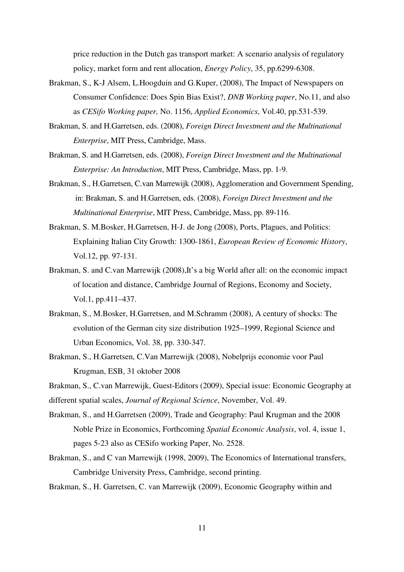price reduction in the Dutch gas transport market: A scenario analysis of regulatory policy, market form and rent allocation, *Energy Policy*, 35, pp.6299-6308.

- Brakman, S., K-J Alsem, L.Hoogduin and G.Kuper, (2008), The Impact of Newspapers on Consumer Confidence: Does Spin Bias Exist?, *DNB Working paper*, No.11, and also as *CESifo Working paper,* No. 1156, *Applied Economics*, Vol.40, pp.531-539.
- Brakman, S. and H.Garretsen, eds. (2008), *Foreign Direct Investment and the Multinational Enterprise*, MIT Press, Cambridge, Mass.
- Brakman, S. and H.Garretsen, eds. (2008), *Foreign Direct Investment and the Multinational Enterprise: An Introduction*, MIT Press, Cambridge, Mass, pp. 1-9.
- Brakman, S., H.Garretsen, C.van Marrewijk (2008), Agglomeration and Government Spending, in: Brakman, S. and H.Garretsen, eds. (2008), *Foreign Direct Investment and the Multinational Enterprise*, MIT Press, Cambridge, Mass, pp. 89-116.
- Brakman, S. M.Bosker, H.Garretsen, H-J. de Jong (2008), Ports, Plagues, and Politics: Explaining Italian City Growth: 1300-1861, *European Review of Economic History*, Vol.12, pp. 97-131.
- Brakman, S. and C.van Marrewijk (2008), It's a big World after all: on the economic impact of location and distance, Cambridge Journal of Regions, Economy and Society, Vol.1, pp.411–437.
- Brakman, S., M.Bosker, H.Garretsen, and M.Schramm (2008), A century of shocks: The evolution of the German city size distribution 1925–1999, Regional Science and Urban Economics, Vol. 38, pp. 330-347.
- Brakman, S., H.Garretsen, C.Van Marrewijk (2008), Nobelprijs economie voor Paul Krugman, ESB, 31 oktober 2008

Brakman, S., C.van Marrewijk, Guest-Editors (2009), Special issue: Economic Geography at different spatial scales, *Journal of Regional Science*, November, Vol. 49.

- Brakman, S., and H.Garretsen (2009), Trade and Geography: Paul Krugman and the 2008 Noble Prize in Economics, Forthcoming *Spatial Economic Analysis*, vol. 4, issue 1, pages 5-23 also as CESifo working Paper, No. 2528.
- Brakman, S., and C van Marrewijk (1998, 2009), The Economics of International transfers, Cambridge University Press, Cambridge, second printing.
- Brakman, S., H. Garretsen, C. van Marrewijk (2009), Economic Geography within and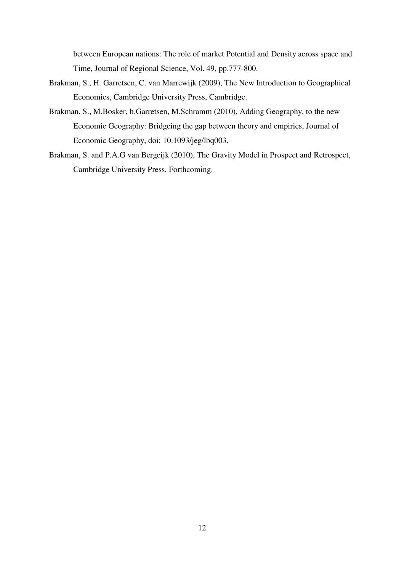between European nations: The role of market Potential and Density across space and Time, Journal of Regional Science, Vol. 49, pp.777-800.

- Brakman, S., H. Garretsen, C. van Marrewijk (2009), The New Introduction to Geographical Economics, Cambridge University Press, Cambridge.
- Brakman, S., M.Bosker, h.Garretsen, M.Schramm (2010), Adding Geography, to the new Economic Geography: Bridgeing the gap between theory and empirics, Journal of Economic Geography, doi: 10.1093/jeg/lbq003.
- Brakman, S. and P.A.G van Bergeijk (2010), The Gravity Model in Prospect and Retrospect, Cambridge University Press, Forthcoming.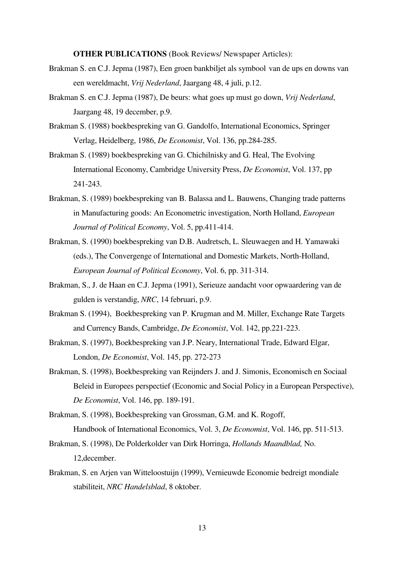**OTHER PUBLICATIONS** (Book Reviews/ Newspaper Articles):

- Brakman S. en C.J. Jepma (1987), Een groen bankbiljet als symbool van de ups en downs van een wereldmacht, *Vrij Nederland*, Jaargang 48, 4 juli, p.12.
- Brakman S. en C.J. Jepma (1987), De beurs: what goes up must go down, *Vrij Nederland*, Jaargang 48, 19 december, p.9.
- Brakman S. (1988) boekbespreking van G. Gandolfo, International Economics, Springer Verlag, Heidelberg, 1986, *De Economist*, Vol. 136, pp.284-285.
- Brakman S. (1989) boekbespreking van G. Chichilnisky and G. Heal, The Evolving International Economy, Cambridge University Press, *De Economist*, Vol. 137, pp 241-243.
- Brakman, S. (1989) boekbespreking van B. Balassa and L. Bauwens, Changing trade patterns in Manufacturing goods: An Econometric investigation, North Holland, *European Journal of Political Economy*, Vol. 5, pp.411-414.
- Brakman, S. (1990) boekbespreking van D.B. Audretsch, L. Sleuwaegen and H. Yamawaki (eds.), The Convergenge of International and Domestic Markets, North-Holland, *European Journal of Political Economy*, Vol. 6, pp. 311-314.
- Brakman, S., J. de Haan en C.J. Jepma (1991), Serieuze aandacht voor opwaardering van de gulden is verstandig, *NRC*, 14 februari, p.9.
- Brakman S. (1994), Boekbespreking van P. Krugman and M. Miller, Exchange Rate Targets and Currency Bands, Cambridge, *De Economist*, Vol. 142, pp.221-223.
- Brakman, S. (1997), Boekbespreking van J.P. Neary, International Trade, Edward Elgar, London, *De Economist*, Vol. 145, pp. 272-273
- Brakman, S. (1998), Boekbespreking van Reijnders J. and J. Simonis, Economisch en Sociaal Beleid in Europees perspectief (Economic and Social Policy in a European Perspective), *De Economist*, Vol. 146, pp. 189-191.
- Brakman, S. (1998), Boekbespreking van Grossman, G.M. and K. Rogoff, Handbook of International Economics, Vol. 3, *De Economist*, Vol. 146, pp. 511-513.
- Brakman, S. (1998), De Polderkolder van Dirk Horringa, *Hollands Maandblad,* No. 12,december.
- Brakman, S. en Arjen van Witteloostuijn (1999), Vernieuwde Economie bedreigt mondiale stabiliteit, *NRC Handelsblad*, 8 oktober.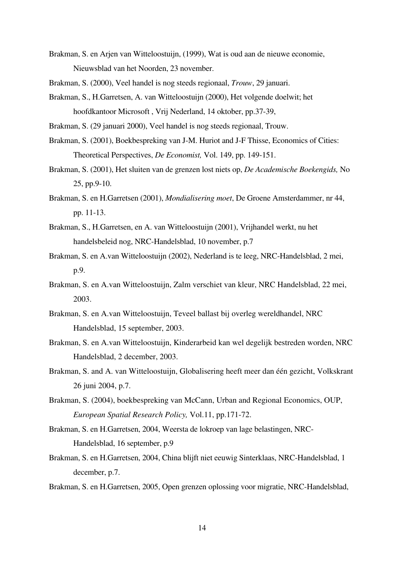- Brakman, S. en Arjen van Witteloostuijn, (1999), Wat is oud aan de nieuwe economie, Nieuwsblad van het Noorden, 23 november.
- Brakman, S. (2000), Veel handel is nog steeds regionaal, *Trouw*, 29 januari.
- Brakman, S., H.Garretsen, A. van Witteloostuijn (2000), Het volgende doelwit; het hoofdkantoor Microsoft , Vrij Nederland, 14 oktober, pp.37-39,
- Brakman, S. (29 januari 2000), Veel handel is nog steeds regionaal, Trouw.
- Brakman, S. (2001), Boekbespreking van J-M. Huriot and J-F Thisse, Economics of Cities: Theoretical Perspectives, *De Economist,* Vol. 149, pp. 149-151.
- Brakman, S. (2001), Het sluiten van de grenzen lost niets op, *De Academische Boekengids,* No 25, pp.9-10.
- Brakman, S. en H.Garretsen (2001), *Mondialisering moet*, De Groene Amsterdammer, nr 44, pp. 11-13.
- Brakman, S., H.Garretsen, en A. van Witteloostuijn (2001), Vrijhandel werkt, nu het handelsbeleid nog, NRC-Handelsblad, 10 november, p.7
- Brakman, S. en A.van Witteloostuijn (2002), Nederland is te leeg, NRC-Handelsblad, 2 mei, p.9.
- Brakman, S. en A.van Witteloostuijn, Zalm verschiet van kleur, NRC Handelsblad, 22 mei, 2003.
- Brakman, S. en A.van Witteloostuijn, Teveel ballast bij overleg wereldhandel, NRC Handelsblad, 15 september, 2003.
- Brakman, S. en A.van Witteloostuijn, Kinderarbeid kan wel degelijk bestreden worden, NRC Handelsblad, 2 december, 2003.
- Brakman, S. and A. van Witteloostuijn, Globalisering heeft meer dan één gezicht, Volkskrant 26 juni 2004, p.7.
- Brakman, S. (2004), boekbespreking van McCann, Urban and Regional Economics, OUP, *European Spatial Research Policy,* Vol.11, pp.171-72.
- Brakman, S. en H.Garretsen, 2004, Weersta de lokroep van lage belastingen, NRC- Handelsblad, 16 september, p.9
- Brakman, S. en H.Garretsen, 2004, China blijft niet eeuwig Sinterklaas, NRC-Handelsblad, 1 december, p.7.
- Brakman, S. en H.Garretsen, 2005, Open grenzen oplossing voor migratie, NRC-Handelsblad,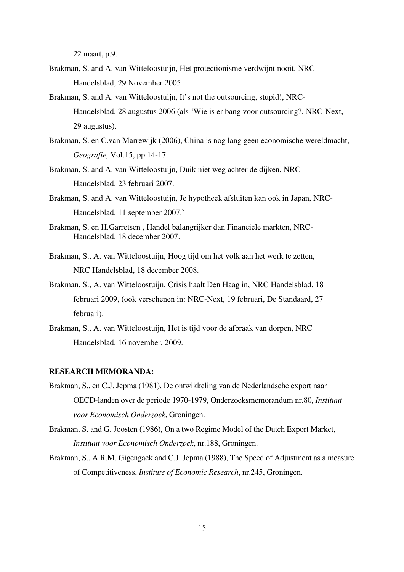22 maart, p.9.

- Brakman, S. and A. van Witteloostuijn, Het protectionisme verdwijnt nooit, NRC- Handelsblad, 29 November 2005
- Brakman, S. and A. van Witteloostuijn, It's not the outsourcing, stupid!, NRC- Handelsblad, 28 augustus 2006 (als 'Wie is er bang voor outsourcing?, NRC-Next, 29 augustus).
- Brakman, S. en C.van Marrewijk (2006), China is nog lang geen economische wereldmacht, *Geografie,* Vol.15, pp.14-17.
- Brakman, S. and A. van Witteloostuijn, Duik niet weg achter de dijken, NRC- Handelsblad, 23 februari 2007.
- Brakman, S. and A. van Witteloostuijn, Je hypotheek afsluiten kan ook in Japan, NRC- Handelsblad, 11 september 2007.`
- Brakman, S. en H.Garretsen , Handel balangrijker dan Financiele markten, NRC- Handelsblad, 18 december 2007.
- Brakman, S., A. van Witteloostuijn, Hoog tijd om het volk aan het werk te zetten, NRC Handelsblad, 18 december 2008.
- Brakman, S., A. van Witteloostuijn, Crisis haalt Den Haag in, NRC Handelsblad, 18 februari 2009, (ook verschenen in: NRC-Next, 19 februari, De Standaard, 27 februari).
- Brakman, S., A. van Witteloostuijn, Het is tijd voor de afbraak van dorpen, NRC Handelsblad, 16 november, 2009.

## **RESEARCH MEMORANDA:**

- Brakman, S., en C.J. Jepma (1981), De ontwikkeling van de Nederlandsche export naar OECD-landen over de periode 1970-1979, Onderzoeksmemorandum nr.80, *Instituut voor Economisch Onderzoek*, Groningen.
- Brakman, S. and G. Joosten (1986), On a two Regime Model of the Dutch Export Market, *Instituut voor Economisch Onderzoek*, nr.188, Groningen.
- Brakman, S., A.R.M. Gigengack and C.J. Jepma (1988), The Speed of Adjustment as a measure of Competitiveness, *Institute of Economic Research*, nr.245, Groningen.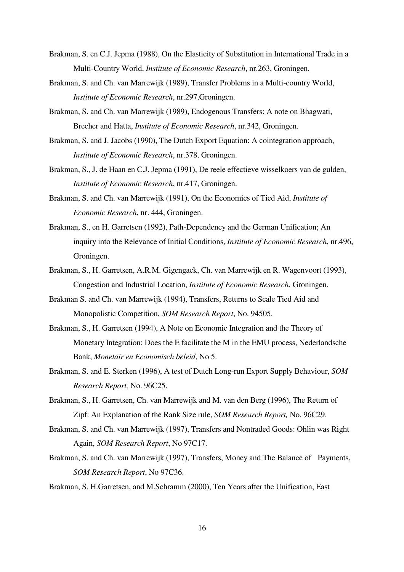- Brakman, S. en C.J. Jepma (1988), On the Elasticity of Substitution in International Trade in a Multi-Country World, *Institute of Economic Research*, nr.263, Groningen.
- Brakman, S. and Ch. van Marrewijk (1989), Transfer Problems in a Multi-country World, *Institute of Economic Research*, nr.297,Groningen.
- Brakman, S. and Ch. van Marrewijk (1989), Endogenous Transfers: A note on Bhagwati, Brecher and Hatta, *Institute of Economic Research*, nr.342, Groningen.
- Brakman, S. and J. Jacobs (1990), The Dutch Export Equation: A cointegration approach, *Institute of Economic Research*, nr.378, Groningen.
- Brakman, S., J. de Haan en C.J. Jepma (1991), De reele effectieve wisselkoers van de gulden, *Institute of Economic Research*, nr.417, Groningen.
- Brakman, S. and Ch. van Marrewijk (1991), On the Economics of Tied Aid, *Institute of Economic Research*, nr. 444, Groningen.
- Brakman, S., en H. Garretsen (1992), Path-Dependency and the German Unification; An inquiry into the Relevance of Initial Conditions, *Institute of Economic Research*, nr.496, Groningen.
- Brakman, S., H. Garretsen, A.R.M. Gigengack, Ch. van Marrewijk en R. Wagenvoort (1993), Congestion and Industrial Location, *Institute of Economic Research*, Groningen.
- Brakman S. and Ch. van Marrewijk (1994), Transfers, Returns to Scale Tied Aid and Monopolistic Competition, *SOM Research Report*, No. 94505.
- Brakman, S., H. Garretsen (1994), A Note on Economic Integration and the Theory of Monetary Integration: Does the E facilitate the M in the EMU process, Nederlandsche Bank, *Monetair en Economisch beleid*, No 5.
- Brakman, S. and E. Sterken (1996), A test of Dutch Long-run Export Supply Behaviour, *SOM Research Report,* No. 96C25.
- Brakman, S., H. Garretsen, Ch. van Marrewijk and M. van den Berg (1996), The Return of Zipf: An Explanation of the Rank Size rule, *SOM Research Report,* No. 96C29.
- Brakman, S. and Ch. van Marrewijk (1997), Transfers and Nontraded Goods: Ohlin was Right Again, *SOM Research Report*, No 97C17.
- Brakman, S. and Ch. van Marrewijk (1997), Transfers, Money and The Balance of Payments, *SOM Research Report*, No 97C36.
- Brakman, S. H.Garretsen, and M.Schramm (2000), Ten Years after the Unification, East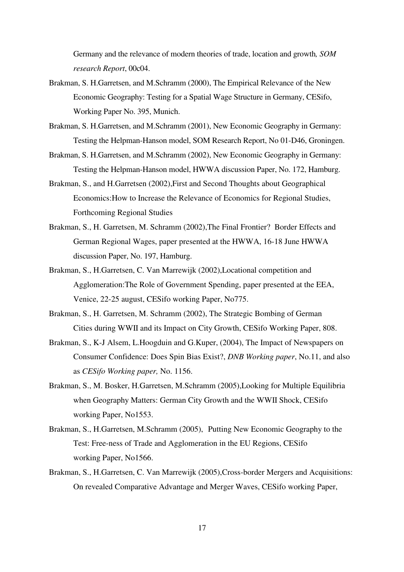Germany and the relevance of modern theories of trade, location and growth*, SOM research Report*, 00c04.

- Brakman, S. H.Garretsen, and M.Schramm (2000), The Empirical Relevance of the New Economic Geography: Testing for a Spatial Wage Structure in Germany, CESifo, Working Paper No. 395, Munich.
- Brakman, S. H.Garretsen, and M.Schramm (2001), New Economic Geography in Germany: Testing the Helpman-Hanson model, SOM Research Report, No 01-D46, Groningen.
- Brakman, S. H.Garretsen, and M.Schramm (2002), New Economic Geography in Germany: Testing the Helpman-Hanson model, HWWA discussion Paper, No. 172, Hamburg.
- Brakman, S., and H.Garretsen (2002),First and Second Thoughts about Geographical Economics:How to Increase the Relevance of Economics for Regional Studies, Forthcoming Regional Studies
- Brakman, S., H. Garretsen, M. Schramm (2002),The Final Frontier? Border Effects and German Regional Wages, paper presented at the HWWA, 16-18 June HWWA discussion Paper, No. 197, Hamburg.
- Brakman, S., H.Garretsen, C. Van Marrewijk (2002),Locational competition and Agglomeration:The Role of Government Spending, paper presented at the EEA, Venice, 22-25 august, CESifo working Paper, No775.
- Brakman, S., H. Garretsen, M. Schramm (2002), The Strategic Bombing of German Cities during WWII and its Impact on City Growth, CESifo Working Paper, 808.
- Brakman, S., K-J Alsem, L.Hoogduin and G.Kuper, (2004), The Impact of Newspapers on Consumer Confidence: Does Spin Bias Exist?, *DNB Working paper*, No.11, and also as *CESifo Working paper,* No. 1156.
- Brakman, S., M. Bosker, H.Garretsen, M.Schramm (2005),Looking for Multiple Equilibria when Geography Matters: German City Growth and the WWII Shock, CESifo working Paper, No1553.
- Brakman, S., H.Garretsen, M.Schramm (2005), Putting New Economic Geography to the Test: Free-ness of Trade and Agglomeration in the EU Regions, CESifo working Paper, No1566.
- Brakman, S., H.Garretsen, C. Van Marrewijk (2005),Cross-border Mergers and Acquisitions: On revealed Comparative Advantage and Merger Waves, CESifo working Paper,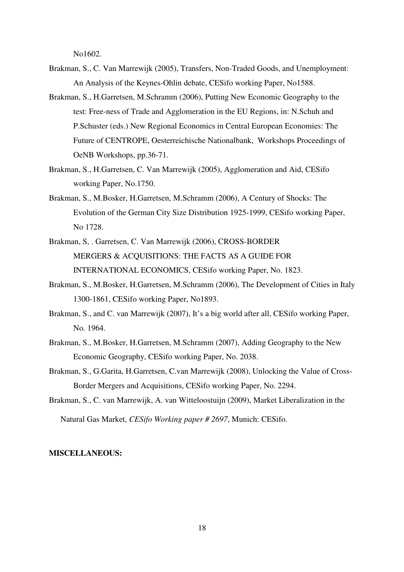No1602.

- Brakman, S., C. Van Marrewijk (2005), Transfers, Non-Traded Goods, and Unemployment: An Analysis of the Keynes-Ohlin debate, CESifo working Paper, No1588.
- Brakman, S., H.Garretsen, M.Schramm (2006), Putting New Economic Geography to the test: Free-ness of Trade and Agglomeration in the EU Regions, in: N.Schuh and P.Schuster (eds.) New Regional Economics in Central European Economies: The Future of CENTROPE, Oesterreichische Nationalbank, Workshops Proceedings of OeNB Workshops, pp.36-71.
- Brakman, S., H.Garretsen, C. Van Marrewijk (2005), Agglomeration and Aid, CESifo working Paper, No.1750.
- Brakman, S., M.Bosker, H.Garretsen, M.Schramm (2006), A Century of Shocks: The Evolution of the German City Size Distribution 1925-1999, CESifo working Paper, No 1728.
- Brakman, S, . Garretsen, C. Van Marrewijk (2006), CROSS-BORDER MERGERS & ACQUISITIONS: THE FACTS AS A GUIDE FOR INTERNATIONAL ECONOMICS, CESifo working Paper, No. 1823.
- Brakman, S., M.Bosker, H.Garretsen, M.Schramm (2006), The Development of Cities in Italy 1300-1861, CESifo working Paper, No1893.
- Brakman, S., and C. van Marrewijk (2007), It's a big world after all, CESifo working Paper, No. 1964.
- Brakman, S., M.Bosker, H.Garretsen, M.Schramm (2007), Adding Geography to the New Economic Geography, CESifo working Paper, No. 2038.
- Brakman, S., G.Garita, H.Garretsen, C.van Marrewijk (2008), Unlocking the Value of Cross-Border Mergers and Acquisitions, CESifo working Paper, No. 2294.
- Brakman, S., C. van Marrewijk, A. van Witteloostuijn (2009), Market Liberalization in the

Natural Gas Market, *CESifo Working paper # 2697*, Munich: CESifo.

## **MISCELLANEOUS:**